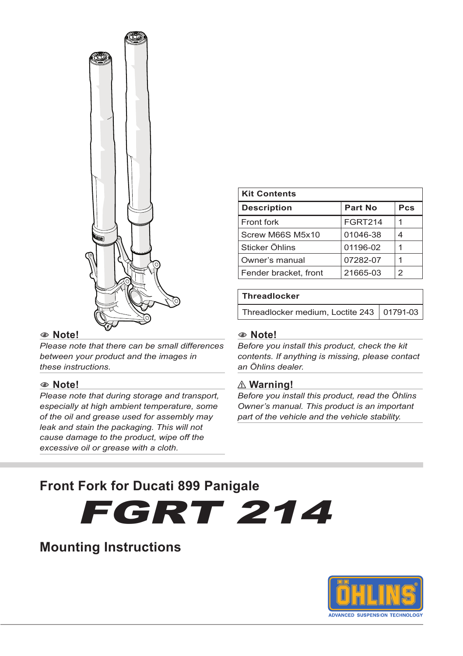

#### 1 **Note!**

*Please note that there can be small differences between your product and the images in these instructions.*

#### 1 **Note!**

*Please note that during storage and transport, especially at high ambient temperature, some of the oil and grease used for assembly may leak and stain the packaging. This will not cause damage to the product, wipe off the excessive oil or grease with a cloth.*

| <b>Kit Contents</b>   |                |     |
|-----------------------|----------------|-----|
| <b>Description</b>    | <b>Part No</b> | Pcs |
| Front fork            | <b>FGRT214</b> |     |
| Screw M66S M5x10      | 01046-38       |     |
| Sticker Öhlins        | 01196-02       |     |
| Owner's manual        | 07282-07       |     |
| Fender bracket, front | 21665-03       | っ   |

#### **Threadlocker**

Threadlocker medium, Loctite 243  $\vert$  01791-03

#### 1 **Note!**

*Before you install this product, check the kit contents. If anything is missing, please contact an Öhlins dealer.*

#### ⚠ **Warning!**

*Before you install this product, read the Öhlins Owner's manual. This product is an important part of the vehicle and the vehicle stability.*

## **Front Fork for Ducati 899 Panigale**

FGRT 214

## **Mounting Instructions**

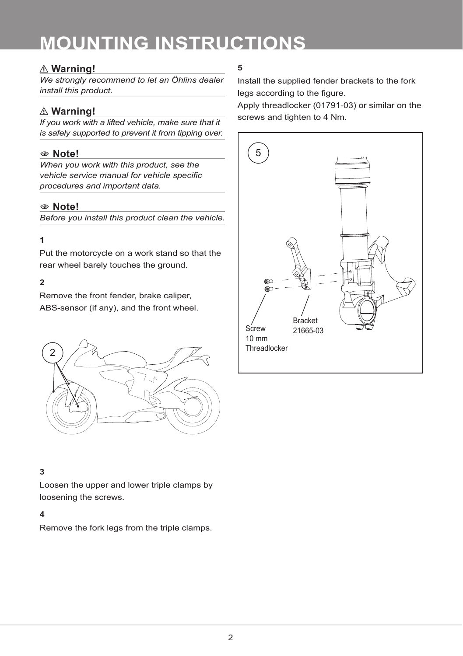# **MOUNTING INSTRUCTIONS**

## ⚠ **Warning!**

*We strongly recommend to let an Öhlins dealer install this product.*

## ⚠ **Warning!**

*If you work with a lifted vehicle, make sure that it is safely supported to prevent it from tipping over.*

## 1 **Note!**

*When you work with this product, see the vehicle service manual for vehicle specific procedures and important data.*

## 1 **Note!**

*Before you install this product clean the vehicle.*

## **1**

Put the motorcycle on a work stand so that the rear wheel barely touches the ground.

## **2**

Remove the front fender, brake caliper, ABS-sensor (if any), and the front wheel.



## **3**

Loosen the upper and lower triple clamps by loosening the screws.

#### **4**

Remove the fork legs from the triple clamps.

## **5**

Install the supplied fender brackets to the fork legs according to the figure.

Apply threadlocker (01791-03) or similar on the screws and tighten to 4 Nm.

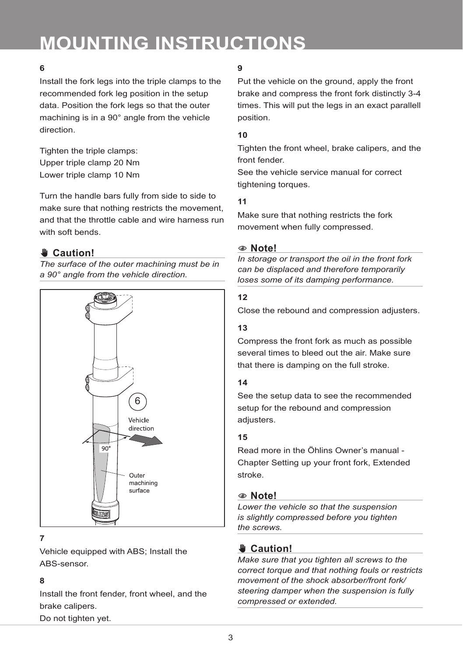# **MOUNTING INSTRUCTIONS**

## **6**

Install the fork legs into the triple clamps to the recommended fork leg position in the setup data. Position the fork legs so that the outer machining is in a 90° angle from the vehicle direction.

Tighten the triple clamps: Upper triple clamp 20 Nm Lower triple clamp 10 Nm

Turn the handle bars fully from side to side to make sure that nothing restricts the movement, and that the throttle cable and wire harness run with soft bends.

## ✋**✋ Caution!**

*The surface of the outer machining must be in a 90° angle from the vehicle direction.*



## **7**

Vehicle equipped with ABS; Install the ABS-sensor.

#### **8**

Install the front fender, front wheel, and the brake calipers. Do not tighten yet.

## **9**

Put the vehicle on the ground, apply the front brake and compress the front fork distinctly 3-4 times. This will put the legs in an exact parallell position.

### **10**

Tighten the front wheel, brake calipers, and the front fender.

See the vehicle service manual for correct tightening torques.

### **11**

Make sure that nothing restricts the fork movement when fully compressed.

#### 1 **Note!**

*In storage or transport the oil in the front fork can be displaced and therefore temporarily loses some of its damping performance.* 

### **12**

Close the rebound and compression adjusters.

### **13**

Compress the front fork as much as possible several times to bleed out the air. Make sure that there is damping on the full stroke.

## **14**

See the setup data to see the recommended setup for the rebound and compression adiusters.

## **15**

Read more in the Öhlins Owner's manual - Chapter Setting up your front fork, Extended stroke.

## 1 **Note!**

*Lower the vehicle so that the suspension is slightly compressed before you tighten the screws.*

## ✋**✋ Caution!**

*Make sure that you tighten all screws to the correct torque and that nothing fouls or restricts movement of the shock absorber/front fork/ steering damper when the suspension is fully compressed or extended.*